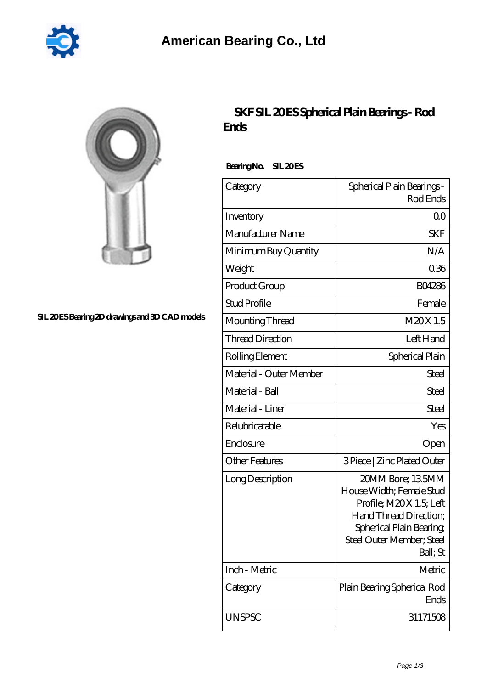

| ۱ |
|---|
|   |

## **[SIL 20 ES Bearing 2D drawings and 3D CAD models](https://2reflex.de/pic-256117.html)**

## **[SKF SIL 20 ES Spherical Plain Bearings - Rod](https://2reflex.de/af-256117-skf-sil-20-es-spherical-plain-bearings-rod-ends.html) [Ends](https://2reflex.de/af-256117-skf-sil-20-es-spherical-plain-bearings-rod-ends.html)**

Bearing No. SIL 20 ES

| Category                | Spherical Plain Bearings -<br>Rod Ends                                                                                                                                 |
|-------------------------|------------------------------------------------------------------------------------------------------------------------------------------------------------------------|
| Inventory               | 0 <sub>0</sub>                                                                                                                                                         |
| Manufacturer Name       | SKF                                                                                                                                                                    |
| Minimum Buy Quantity    | N/A                                                                                                                                                                    |
| Weight                  | 0.36                                                                                                                                                                   |
| Product Group           | <b>BO4286</b>                                                                                                                                                          |
| <b>Stud Profile</b>     | Female                                                                                                                                                                 |
| Mounting Thread         | M20X1.5                                                                                                                                                                |
| <b>Thread Direction</b> | Left Hand                                                                                                                                                              |
| Rolling Element         | Spherical Plain                                                                                                                                                        |
| Material - Outer Member | Steel                                                                                                                                                                  |
| Material - Ball         | Steel                                                                                                                                                                  |
| Material - Liner        | <b>Steel</b>                                                                                                                                                           |
| Relubricatable          | Yes                                                                                                                                                                    |
| Enclosure               | Open                                                                                                                                                                   |
| <b>Other Features</b>   | 3 Piece   Zinc Plated Outer                                                                                                                                            |
| Long Description        | 20MM Bore; 135MM<br>House Width; Female Stud<br>Profile; M2OX 1.5; Left<br>Hand Thread Direction;<br>Spherical Plain Bearing,<br>Steel Outer Member; Steel<br>Ball; St |
| Inch - Metric           | Metric                                                                                                                                                                 |
| Category                | Plain Bearing Spherical Rod<br>Ends                                                                                                                                    |
| <b>UNSPSC</b>           | 31171508                                                                                                                                                               |
|                         |                                                                                                                                                                        |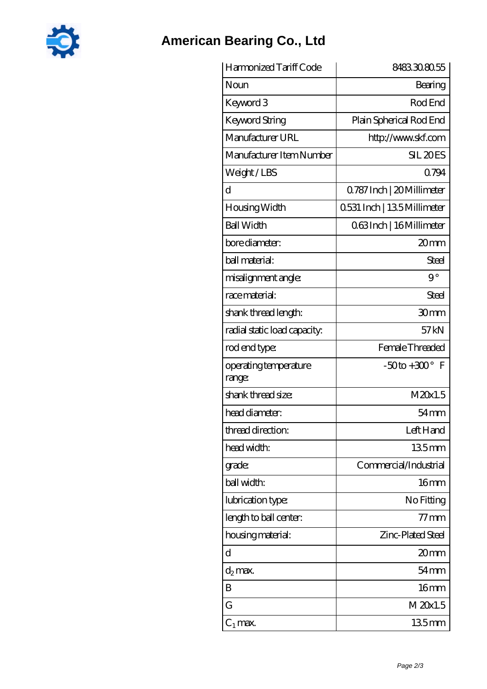

## **[American Bearing Co., Ltd](https://2reflex.de)**

| Harmonized Tariff Code          | 8483308055                 |
|---------------------------------|----------------------------|
| Noun                            | Bearing                    |
| Keyword 3                       | Rod End                    |
| <b>Keyword String</b>           | Plain Spherical Rod End    |
| Manufacturer URL                | http://www.skf.com         |
| Manufacturer Item Number        | SIL <sub>20ES</sub>        |
| Weight/LBS                      | 0794                       |
| d                               | Q787 Inch   20 Millimeter  |
| Housing Width                   | 0531 Inch   135 Millimeter |
| <b>Ball Width</b>               | 063Inch   16 Millimeter    |
| bore diameter:                  | 20mm                       |
| ball material:                  | Steel                      |
| misalignment angle:             | $9^{\circ}$                |
| race material:                  | <b>Steel</b>               |
| shank thread length:            | 30 <sub>mm</sub>           |
| radial static load capacity:    | 57kN                       |
| rod end type:                   | Female Threaded            |
| operating temperature<br>range: | $-50$ to $+300^\circ$ F    |
| shank thread size:              | M20x1.5                    |
| head diameter:                  | $54 \text{mm}$             |
| thread direction:               | Left Hand                  |
| head width:                     | 135mm                      |
| grade:                          | Commercial/Industrial      |
| ball width:                     | 16 <sub>mm</sub>           |
| lubrication type:               | No Fitting                 |
| length to ball center:          | $77 \text{mm}$             |
| housing material:               | Zinc-Plated Steel          |
| d                               | 20mm                       |
| d <sub>2</sub> max.             | $54 \text{mm}$             |
| B                               | 16 <sub>mm</sub>           |
| G                               | M 20x1.5                   |
| $C_1$ max.                      | $135$ mm                   |